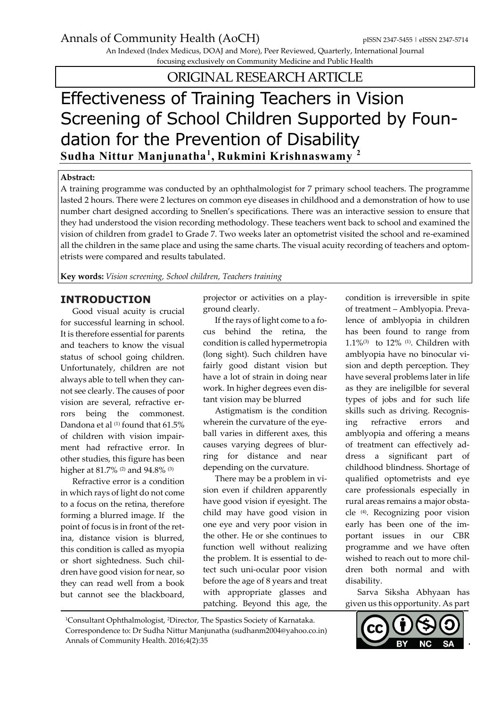An Indexed (Index Medicus, DOAJ and More), Peer Reviewed, Quarterly, International Journal focusing exclusively on Community Medicine and Public Health

ORIGINAL RESEARCH ARTICLE

# Effectiveness of Training Teachers in Vision Screening of School Children Supported by Foundation for the Prevention of Disability **Sudha Nittur Manjunatha<sup>1</sup> , Rukmini Krishnaswamy <sup>2</sup>**

#### **Abstract:**

A training programme was conducted by an ophthalmologist for 7 primary school teachers. The programme lasted 2 hours. There were 2 lectures on common eye diseases in childhood and a demonstration of how to use number chart designed according to Snellen's specifications. There was an interactive session to ensure that they had understood the vision recording methodology. These teachers went back to school and examined the vision of children from grade1 to Grade 7. Two weeks later an optometrist visited the school and re-examined all the children in the same place and using the same charts. The visual acuity recording of teachers and optometrists were compared and results tabulated.

**Key words:** *Vision screening, School children, Teachers training*

### **INTRODUCTION**

Good visual acuity is crucial for successful learning in school. It is therefore essential for parents and teachers to know the visual status of school going children. Unfortunately, children are not always able to tell when they cannot see clearly. The causes of poor vision are several, refractive errors being the commonest. Dandona et al (1) found that 61.5% of children with vision impairment had refractive error. In other studies, this figure has been higher at 81.7% (2) and 94.8% (3)

Refractive error is a condition in which rays of light do not come to a focus on the retina, therefore forming a blurred image. If the point of focus is in front of the retina, distance vision is blurred, this condition is called as myopia or short sightedness. Such children have good vision for near, so they can read well from a book but cannot see the blackboard,

projector or activities on a playground clearly.

If the rays of light come to a focus behind the retina, the condition is called hypermetropia (long sight). Such children have fairly good distant vision but have a lot of strain in doing near work. In higher degrees even distant vision may be blurred

Astigmatism is the condition wherein the curvature of the eyeball varies in different axes, this causes varying degrees of blurring for distance and near depending on the curvature.

There may be a problem in vision even if children apparently have good vision if eyesight. The child may have good vision in one eye and very poor vision in the other. He or she continues to function well without realizing the problem. It is essential to detect such uni-ocular poor vision before the age of 8 years and treat with appropriate glasses and patching. Beyond this age, the condition is irreversible in spite of treatment – Amblyopia. Prevalence of amblyopia in children has been found to range from 1.1%(3) to 12% (1). Children with amblyopia have no binocular vision and depth perception. They have several problems later in life as they are ineligilble for several types of jobs and for such life skills such as driving. Recognising refractive errors and amblyopia and offering a means of treatment can effectively address a significant part of childhood blindness. Shortage of qualified optometrists and eye care professionals especially in rural areas remains a major obstacle (4). Recognizing poor vision early has been one of the important issues in our CBR programme and we have often wished to reach out to more children both normal and with disability.

Sarva Siksha Abhyaan has given us this opportunity. As part

Correspondence to: Dr Sudha Nittur Manjunatha (sudhanm2004@yahoo.co.in) Annals of Community Health. 2016;4(2):35



<sup>1</sup>Consultant Ophthalmologist, <sup>2</sup>Director, The Spastics Society of Karnataka.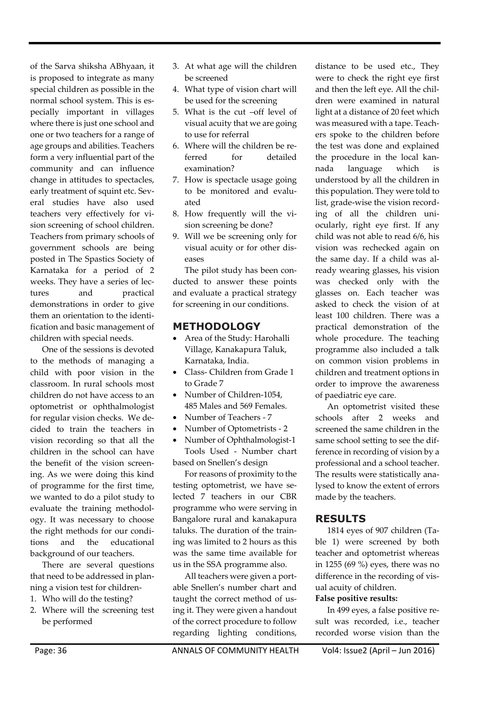of the Sarva shiksha ABhyaan, it is proposed to integrate as many special children as possible in the normal school system. This is especially important in villages where there is just one school and one or two teachers for a range of age groups and abilities. Teachers form a very influential part of the community and can influence change in attitudes to spectacles, early treatment of squint etc. Several studies have also used teachers very effectively for vision screening of school children. Teachers from primary schools of government schools are being posted in The Spastics Society of Karnataka for a period of 2 weeks. They have a series of lectures and practical demonstrations in order to give them an orientation to the identification and basic management of children with special needs.

One of the sessions is devoted to the methods of managing a child with poor vision in the classroom. In rural schools most children do not have access to an optometrist or ophthalmologist for regular vision checks. We decided to train the teachers in vision recording so that all the children in the school can have the benefit of the vision screening. As we were doing this kind of programme for the first time, we wanted to do a pilot study to evaluate the training methodology. It was necessary to choose the right methods for our conditions and the educational background of our teachers.

There are several questions that need to be addressed in planning a vision test for children-

- 1. Who will do the testing?
- 2. Where will the screening test be performed
- 3. At what age will the children be screened
- 4. What type of vision chart will be used for the screening
- 5. What is the cut –off level of visual acuity that we are going to use for referral
- 6. Where will the children be referred for detailed examination?
- 7. How is spectacle usage going to be monitored and evaluated
- 8. How frequently will the vision screening be done?
- 9. Will we be screening only for visual acuity or for other diseases

The pilot study has been conducted to answer these points and evaluate a practical strategy for screening in our conditions.

## **METHODOLOGY**

- Area of the Study: Harohalli Village, Kanakapura Taluk, Karnataka, India.
- Class- Children from Grade 1 to Grade 7
- Number of Children-1054, 485 Males and 569 Females.
- Number of Teachers 7
- Number of Optometrists 2
- Number of Ophthalmologist-1 Tools Used - Number chart based on Snellen's design

For reasons of proximity to the testing optometrist, we have selected 7 teachers in our CBR programme who were serving in Bangalore rural and kanakapura taluks. The duration of the training was limited to 2 hours as this was the same time available for us in the SSA programme also.

All teachers were given a portable Snellen's number chart and taught the correct method of using it. They were given a handout of the correct procedure to follow regarding lighting conditions, distance to be used etc., They were to check the right eye first and then the left eye. All the children were examined in natural light at a distance of 20 feet which was measured with a tape. Teachers spoke to the children before the test was done and explained the procedure in the local kannada language which is understood by all the children in this population. They were told to list, grade-wise the vision recording of all the children uniocularly, right eye first. If any child was not able to read 6/6, his vision was rechecked again on the same day. If a child was already wearing glasses, his vision was checked only with the glasses on. Each teacher was asked to check the vision of at least 100 children. There was a practical demonstration of the whole procedure. The teaching programme also included a talk on common vision problems in children and treatment options in order to improve the awareness of paediatric eye care.

An optometrist visited these schools after 2 weeks and screened the same children in the same school setting to see the difference in recording of vision by a professional and a school teacher. The results were statistically analysed to know the extent of errors made by the teachers.

## **RESULTS**

1814 eyes of 907 children (Table 1) were screened by both teacher and optometrist whereas in 1255 (69 %) eyes, there was no difference in the recording of visual acuity of children.

### **False positive results:**

In 499 eyes, a false positive result was recorded, i.e., teacher recorded worse vision than the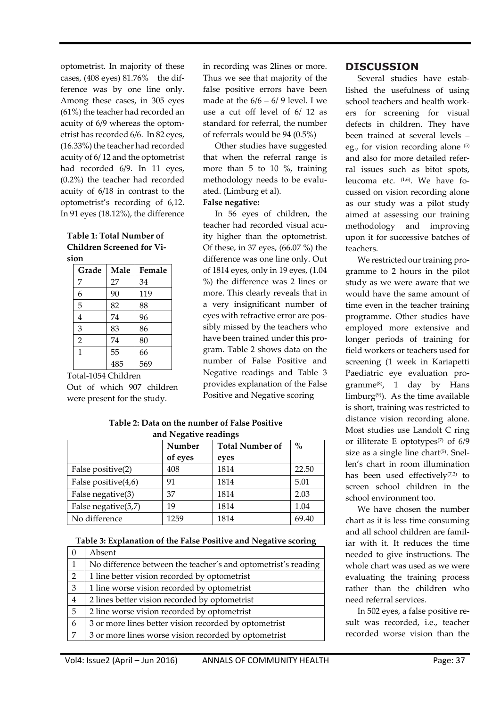optometrist. In majority of these cases, (408 eyes) 81.76% the difference was by one line only. Among these cases, in 305 eyes (61%) the teacher had recorded an acuity of 6/9 whereas the optometrist has recorded 6/6. In 82 eyes, (16.33%) the teacher had recorded acuity of 6/ 12 and the optometrist had recorded 6/9. In 11 eyes, (0.2%) the teacher had recorded acuity of 6/18 in contrast to the optometrist's recording of 6,12. In 91 eyes (18.12%), the difference

**Table 1: Total Number of Children Screened for Vision**

| Grade          | Male | Female |
|----------------|------|--------|
| 7              | 27   | 34     |
| 6              | 90   | 119    |
| 5              | 82   | 88     |
| 4              | 74   | 96     |
| 3              | 83   | 86     |
| $\overline{2}$ | 74   | 80     |
| 1              | 55   | 66     |
|                | 485  | 569    |

Total-1054 Children Out of which 907 children were present for the study.

in recording was 2lines or more. Thus we see that majority of the false positive errors have been made at the  $6/6 - 6/9$  level. I we use a cut off level of 6/ 12 as standard for referral, the number of referrals would be 94 (0.5%)

Other studies have suggested that when the referral range is more than 5 to 10 %, training methodology needs to be evaluated. (Limburg et al).

## **False negative:**

In 56 eyes of children, the teacher had recorded visual acuity higher than the optometrist. Of these, in 37 eyes, (66.07 %) the difference was one line only. Out of 1814 eyes, only in 19 eyes, (1.04 %) the difference was 2 lines or more. This clearly reveals that in a very insignificant number of eyes with refractive error are possibly missed by the teachers who have been trained under this program. Table 2 shows data on the number of False Positive and Negative readings and Table 3 provides explanation of the False Positive and Negative scoring

**Table 2: Data on the number of False Positive and Negative readings**

|                        | Number  | <b>Total Number of</b> | $\mathbf{0}_{\mathbf{0}}^{\prime}$ |
|------------------------|---------|------------------------|------------------------------------|
|                        | of eyes | eyes                   |                                    |
| False positive(2)      | 408     | 1814                   | 22.50                              |
| False positive $(4,6)$ | 91      | 1814                   | 5.01                               |
| False negative(3)      | 37      | 1814                   | 2.03                               |
| False negative(5,7)    | 19      | 1814                   | 1.04                               |
| No difference          | 1259    | 1814                   | 69.40                              |

**Table 3: Explanation of the False Positive and Negative scoring**

| $\Omega$ | Absent                                                        |
|----------|---------------------------------------------------------------|
| 1        | No difference between the teacher's and optometrist's reading |
| 2        | 1 line better vision recorded by optometrist                  |
| 3        | 1 line worse vision recorded by optometrist                   |
| 4        | 2 lines better vision recorded by optometrist                 |
| 5        | 2 line worse vision recorded by optometrist                   |
| 6        | 3 or more lines better vision recorded by optometrist         |
| 7        | 3 or more lines worse vision recorded by optometrist          |
|          |                                                               |

## **DISCUSSION**

Several studies have established the usefulness of using school teachers and health workers for screening for visual defects in children. They have been trained at several levels – eg., for vision recording alone (5) and also for more detailed referral issues such as bitot spots, leucoma etc. (1,6) . We have focussed on vision recording alone as our study was a pilot study aimed at assessing our training methodology and improving upon it for successive batches of teachers.

We restricted our training programme to 2 hours in the pilot study as we were aware that we would have the same amount of time even in the teacher training programme. Other studies have employed more extensive and longer periods of training for field workers or teachers used for screening (1 week in Kariapetti Paediatric eye evaluation programme(8) , 1 day by Hans limburg $(9)$ . As the time available is short, training was restricted to distance vision recording alone. Most studies use Landolt C ring or illiterate E optotypes<sup> $(7)$ </sup> of 6/9 size as a single line chart<sup>(5)</sup>. Snellen's chart in room illumination has been used effectively $(7,3)$  to screen school children in the school environment too.

We have chosen the number chart as it is less time consuming and all school children are familiar with it. It reduces the time needed to give instructions. The whole chart was used as we were evaluating the training process rather than the children who need referral services.

In 502 eyes, a false positive result was recorded, i.e., teacher recorded worse vision than the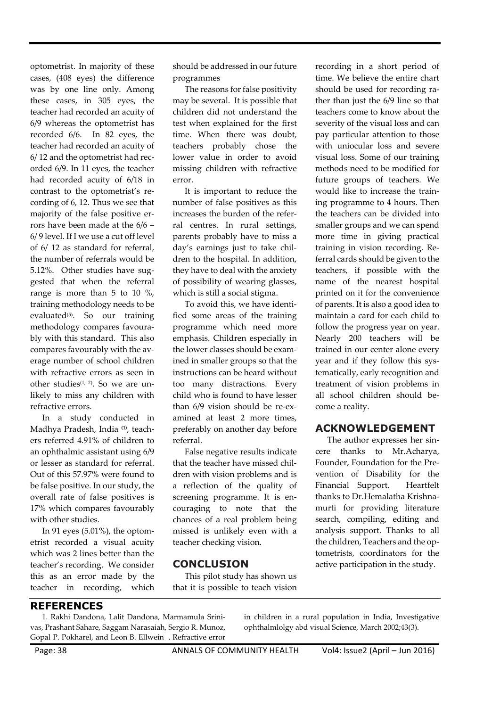optometrist. In majority of these cases, (408 eyes) the difference was by one line only. Among these cases, in 305 eyes, the teacher had recorded an acuity of 6/9 whereas the optometrist has recorded 6/6. In 82 eyes, the teacher had recorded an acuity of 6/ 12 and the optometrist had recorded 6/9. In 11 eyes, the teacher had recorded acuity of 6/18 in contrast to the optometrist's recording of 6, 12. Thus we see that majority of the false positive errors have been made at the 6/6 – 6/ 9 level. If I we use a cut off level of 6/ 12 as standard for referral, the number of referrals would be 5.12%. Other studies have suggested that when the referral range is more than 5 to 10 %, training methodology needs to be evaluated<sup>(5)</sup>. So our training methodology compares favourably with this standard. This also compares favourably with the average number of school children with refractive errors as seen in other studies<sup> $(1, 2)$ </sup>. So we are unlikely to miss any children with refractive errors.

In a study conducted in Madhya Pradesh, India **(1)**, teachers referred 4.91% of children to an ophthalmic assistant using 6/9 or lesser as standard for referral. Out of this 57.97% were found to be false positive. In our study, the overall rate of false positives is 17% which compares favourably with other studies.

In 91 eyes (5.01%), the optometrist recorded a visual acuity which was 2 lines better than the teacher's recording. We consider this as an error made by the teacher in recording, which should be addressed in our future programmes

The reasons for false positivity may be several. It is possible that children did not understand the test when explained for the first time. When there was doubt, teachers probably chose the lower value in order to avoid missing children with refractive error.

It is important to reduce the number of false positives as this increases the burden of the referral centres. In rural settings, parents probably have to miss a day's earnings just to take children to the hospital. In addition, they have to deal with the anxiety of possibility of wearing glasses, which is still a social stigma.

To avoid this, we have identified some areas of the training programme which need more emphasis. Children especially in the lower classes should be examined in smaller groups so that the instructions can be heard without too many distractions. Every child who is found to have lesser than 6/9 vision should be re-examined at least 2 more times, preferably on another day before referral.

False negative results indicate that the teacher have missed children with vision problems and is a reflection of the quality of screening programme. It is encouraging to note that the chances of a real problem being missed is unlikely even with a teacher checking vision.

## **CONCLUSION**

This pilot study has shown us that it is possible to teach vision recording in a short period of time. We believe the entire chart should be used for recording rather than just the 6/9 line so that teachers come to know about the severity of the visual loss and can pay particular attention to those with uniocular loss and severe visual loss. Some of our training methods need to be modified for future groups of teachers. We would like to increase the training programme to 4 hours. Then the teachers can be divided into smaller groups and we can spend more time in giving practical training in vision recording. Referral cards should be given to the teachers, if possible with the name of the nearest hospital printed on it for the convenience of parents. It is also a good idea to maintain a card for each child to follow the progress year on year. Nearly 200 teachers will be trained in our center alone every year and if they follow this systematically, early recognition and treatment of vision problems in all school children should become a reality.

## **ACKNOWLEDGEMENT**

The author expresses her sincere thanks to Mr.Acharya, Founder, Foundation for the Prevention of Disability for the Financial Support. Heartfelt thanks to Dr.Hemalatha Krishnamurti for providing literature search, compiling, editing and analysis support. Thanks to all the children, Teachers and the optometrists, coordinators for the active participation in the study.

### **REFERENCES**

1. Rakhi Dandona, Lalit Dandona, Marmamula Srinivas, Prashant Sahare, Saggam Narasaiah, Sergio R. Munoz, Gopal P. Pokharel, and Leon B. Ellwein . Refractive error

in children in a rural population in India, Investigative ophthalmlolgy abd visual Science, March 2002;43(3).